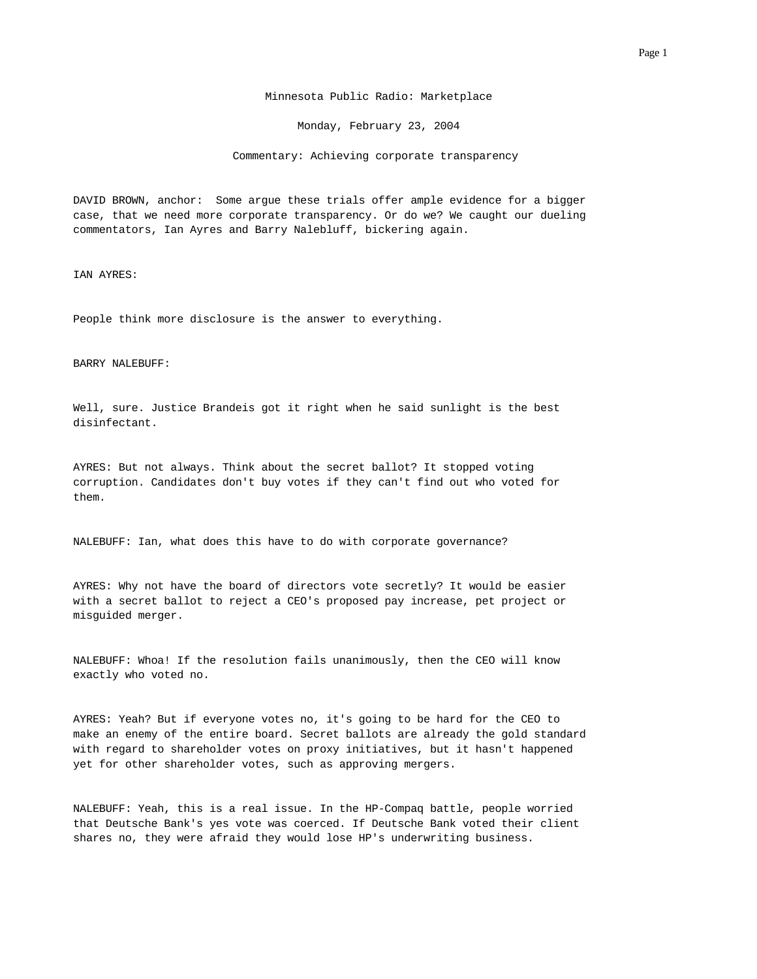Minnesota Public Radio: Marketplace

Monday, February 23, 2004

Commentary: Achieving corporate transparency

 DAVID BROWN, anchor: Some argue these trials offer ample evidence for a bigger case, that we need more corporate transparency. Or do we? We caught our dueling commentators, Ian Ayres and Barry Nalebluff, bickering again.

IAN AYRES:

People think more disclosure is the answer to everything.

## BARRY NALEBUFF:

 Well, sure. Justice Brandeis got it right when he said sunlight is the best disinfectant.

 AYRES: But not always. Think about the secret ballot? It stopped voting corruption. Candidates don't buy votes if they can't find out who voted for them.

NALEBUFF: Ian, what does this have to do with corporate governance?

 AYRES: Why not have the board of directors vote secretly? It would be easier with a secret ballot to reject a CEO's proposed pay increase, pet project or misguided merger.

 NALEBUFF: Whoa! If the resolution fails unanimously, then the CEO will know exactly who voted no.

 AYRES: Yeah? But if everyone votes no, it's going to be hard for the CEO to make an enemy of the entire board. Secret ballots are already the gold standard with regard to shareholder votes on proxy initiatives, but it hasn't happened yet for other shareholder votes, such as approving mergers.

 NALEBUFF: Yeah, this is a real issue. In the HP-Compaq battle, people worried that Deutsche Bank's yes vote was coerced. If Deutsche Bank voted their client shares no, they were afraid they would lose HP's underwriting business.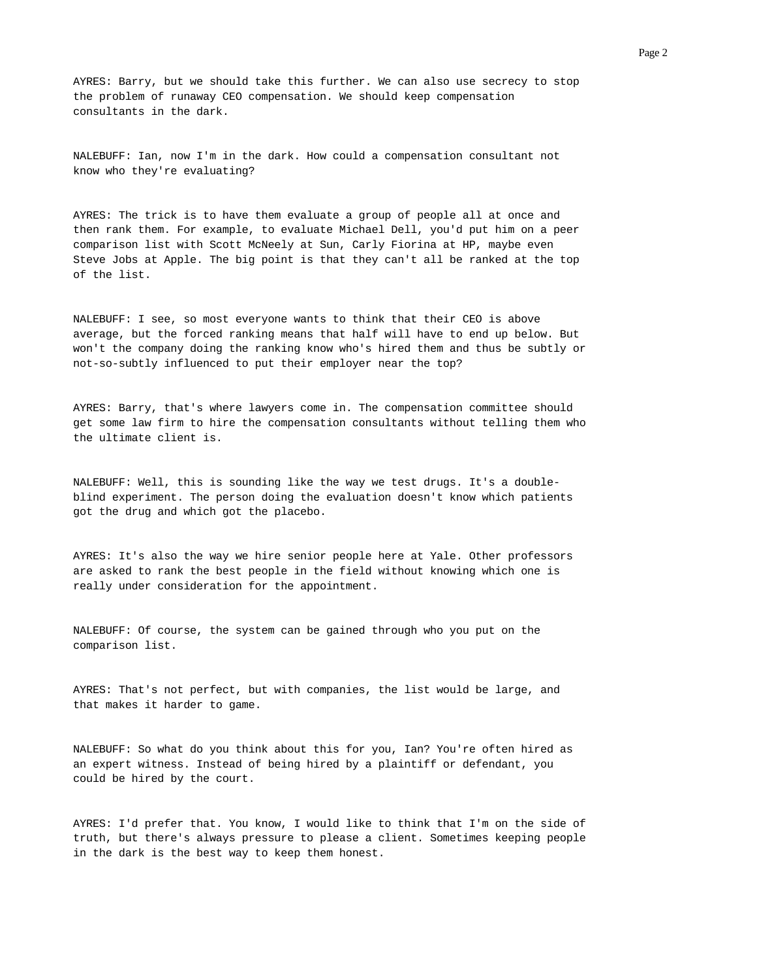AYRES: Barry, but we should take this further. We can also use secrecy to stop the problem of runaway CEO compensation. We should keep compensation consultants in the dark.

 NALEBUFF: Ian, now I'm in the dark. How could a compensation consultant not know who they're evaluating?

 AYRES: The trick is to have them evaluate a group of people all at once and then rank them. For example, to evaluate Michael Dell, you'd put him on a peer comparison list with Scott McNeely at Sun, Carly Fiorina at HP, maybe even Steve Jobs at Apple. The big point is that they can't all be ranked at the top of the list.

 NALEBUFF: I see, so most everyone wants to think that their CEO is above average, but the forced ranking means that half will have to end up below. But won't the company doing the ranking know who's hired them and thus be subtly or not-so-subtly influenced to put their employer near the top?

 AYRES: Barry, that's where lawyers come in. The compensation committee should get some law firm to hire the compensation consultants without telling them who the ultimate client is.

 NALEBUFF: Well, this is sounding like the way we test drugs. It's a double blind experiment. The person doing the evaluation doesn't know which patients got the drug and which got the placebo.

 AYRES: It's also the way we hire senior people here at Yale. Other professors are asked to rank the best people in the field without knowing which one is really under consideration for the appointment.

 NALEBUFF: Of course, the system can be gained through who you put on the comparison list.

 AYRES: That's not perfect, but with companies, the list would be large, and that makes it harder to game.

 NALEBUFF: So what do you think about this for you, Ian? You're often hired as an expert witness. Instead of being hired by a plaintiff or defendant, you could be hired by the court.

 AYRES: I'd prefer that. You know, I would like to think that I'm on the side of truth, but there's always pressure to please a client. Sometimes keeping people in the dark is the best way to keep them honest.